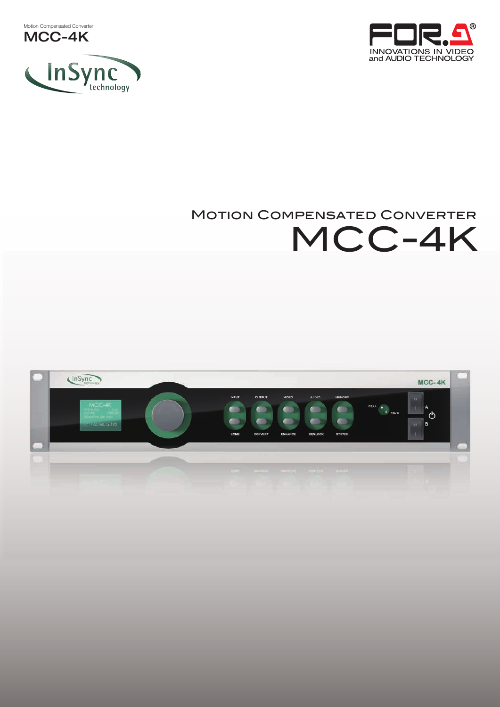



Motion Compensated Converter

# MCC-4K **MOTION COMPENSATED CONVERTER**

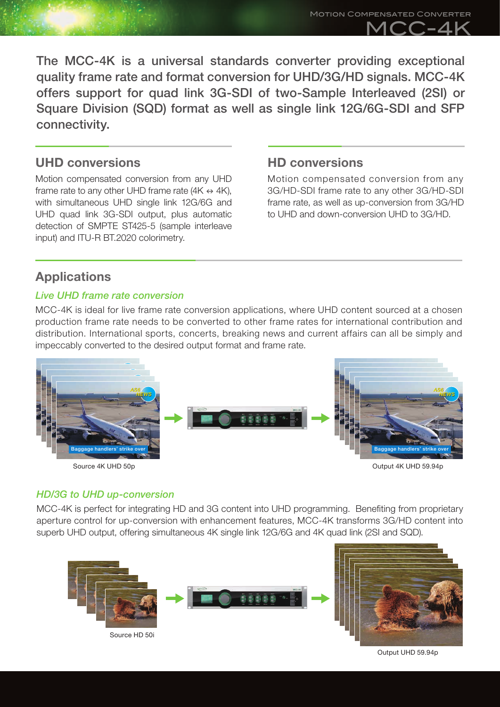The MCC-4K is a universal standards converter providing exceptional quality frame rate and format conversion for UHD/3G/HD signals. MCC-4K offers support for quad link 3G-SDI of two-Sample Interleaved (2SI) or Square Division (SQD) format as well as single link 12G/6G-SDI and SFP .connectivity

# UHD conversions

Motion compensated conversion from any UHD frame rate to any other UHD frame rate (4K  $\Leftrightarrow$  4K), with simultaneous UHD single link 12G/6G and UHD quad link 3G-SDI output, plus automatic detection of SMPTE ST425-5 (sample interleave input) and ITU-R BT.2020 colorimetry.

# **HD** conversions

Motion compensated conversion from any 3G/HD-SDI frame rate to any other 3G/HD-SDI frame rate, as well as up-conversion from 3G/HD to UHD and down-conversion UHD to 3G/HD.

# Applications

#### **Live UHD frame rate conversion**

MCC-4K is ideal for live frame rate conversion applications, where UHD content sourced at a chosen production frame rate needs to be converted to other frame rates for international contribution and distribution. International sports, concerts, breaking news and current affairs can all be simply and impeccably converted to the desired output format and frame rate.



## **HD/3G** to UHD up-conversion

MCC-4K is perfect for integrating HD and 3G content into UHD programming. Benefiting from proprietary aperture control for up-conversion with enhancement features, MCC-4K transforms 3G/HD content into superb UHD output, offering simultaneous 4K single link 12G/6G and 4K quad link (2SI and SQD).



Output UHD 59.94p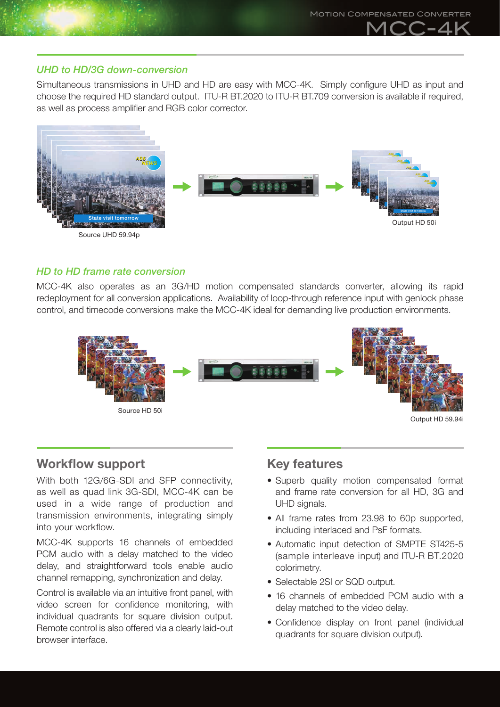#### **UHD** to HD/3G down-conversion

Simultaneous transmissions in UHD and HD are easy with MCC-4K. Simply configure UHD as input and choose the required HD standard output. ITU-R BT.2020 to ITU-R BT.709 conversion is available if required, as well as process amplifier and RGB color corrector.



#### **HD** to HD frame rate conversion

MCC-4K also operates as an 3G/HD motion compensated standards converter, allowing its rapid redeployment for all conversion applications. Availability of loop-through reference input with genlock phase control, and timecode conversions make the MCC-4K ideal for demanding live production environments.



# **Workflow support**

With both 12G/6G-SDI and SFP connectivity, as well as quad link 3G-SDI, MCC-4K can be used in a wide range of production and transmission environments, integrating simply into your workflow.

MCC-4K supports 16 channels of embedded PCM audio with a delay matched to the video delay, and straightforward tools enable audio channel remapping, synchronization and delay.

Control is available via an intuitive front panel, with video screen for confidence monitoring, with individual quadrants for square division output. Remote control is also offered via a clearly laid-out browser interface.

## **Key features**

- Superb quality motion compensated format and frame rate conversion for all HD. 3G and UHD signals.
- All frame rates from 23.98 to 60p supported, including interlaced and PsF formats.
- Automatic input detection of SMPTE ST425-5 (sample interleave input) and ITU-R BT.2020 .colorimetry
- Selectable 2SI or SQD output.
- 16 channels of embedded PCM audio with a delay matched to the video delay.
- Confidence display on front panel (individual quadrants for square division output).